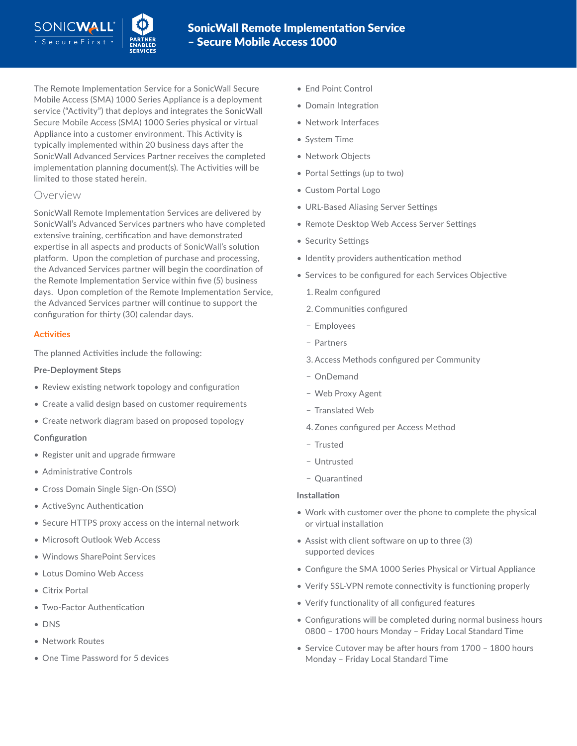The Remote Implementation Service for a SonicWall Secure Mobile Access (SMA) 1000 Series Appliance is a deployment service ("Activity") that deploys and integrates the SonicWall Secure Mobile Access (SMA) 1000 Series physical or virtual Appliance into a customer environment. This Activity is typically implemented within 20 business days after the SonicWall Advanced Services Partner receives the completed implementation planning document(s). The Activities will be limited to those stated herein.

## Overview

SonicWall Remote Implementation Services are delivered by SonicWall's Advanced Services partners who have completed extensive training, certification and have demonstrated expertise in all aspects and products of SonicWall's solution platform. Upon the completion of purchase and processing, the Advanced Services partner will begin the coordination of the Remote Implementation Service within five (5) business days. Upon completion of the Remote Implementation Service, the Advanced Services partner will continue to support the configuration for thirty (30) calendar days.

## **Activities**

The planned Activities include the following:

## **Pre-Deployment Steps**

- Review existing network topology and configuration
- Create a valid design based on customer requirements
- Create network diagram based on proposed topology

## **Configuration**

- Register unit and upgrade firmware
- Administrative Controls
- Cross Domain Single Sign-On (SSO)
- ActiveSync Authentication
- Secure HTTPS proxy access on the internal network
- Microsoft Outlook Web Access
- Windows SharePoint Services
- Lotus Domino Web Access
- Citrix Portal
- Two-Factor Authentication
- DNS
- Network Routes
- One Time Password for 5 devices
- End Point Control
- Domain Integration
- Network Interfaces
- System Time
- Network Objects
- Portal Settings (up to two)
- Custom Portal Logo
- URL-Based Aliasing Server Settings
- Remote Desktop Web Access Server Settings
- Security Settings
- Identity providers authentication method
- Services to be configured for each Services Objective
	- 1. Realm configured
	- 2.Communities configured
	- − Employees
	- − Partners
	- 3.Access Methods configured per Community
	- − OnDemand
	- − Web Proxy Agent
	- − Translated Web
	- 4. Zones configured per Access Method
	- − Trusted
	- − Untrusted
	- − Quarantined

## **Installation**

- Work with customer over the phone to complete the physical or virtual installation
- Assist with client software on up to three (3) supported devices
- Configure the SMA 1000 Series Physical or Virtual Appliance
- Verify SSL-VPN remote connectivity is functioning properly
- Verify functionality of all configured features
- Configurations will be completed during normal business hours 0800 – 1700 hours Monday – Friday Local Standard Time
- Service Cutover may be after hours from 1700 1800 hours Monday – Friday Local Standard Time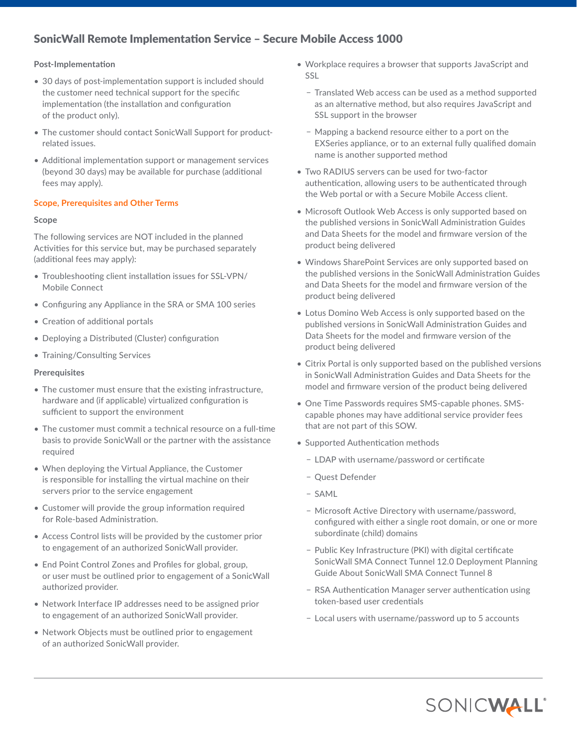# SonicWall Remote Implementation Service – Secure Mobile Access 1000

## **Post-Implementation**

- 30 days of post-implementation support is included should the customer need technical support for the specific implementation (the installation and configuration of the product only).
- The customer should contact SonicWall Support for productrelated issues.
- Additional implementation support or management services (beyond 30 days) may be available for purchase (additional fees may apply).

## **Scope, Prerequisites and Other Terms**

## **Scope**

The following services are NOT included in the planned Activities for this service but, may be purchased separately (additional fees may apply):

- Troubleshooting client installation issues for SSL-VPN/ Mobile Connect
- Configuring any Appliance in the SRA or SMA 100 series
- Creation of additional portals
- Deploying a Distributed (Cluster) configuration
- Training/Consulting Services

## **Prerequisites**

- The customer must ensure that the existing infrastructure, hardware and (if applicable) virtualized configuration is sufficient to support the environment
- The customer must commit a technical resource on a full-time basis to provide SonicWall or the partner with the assistance required
- When deploying the Virtual Appliance, the Customer is responsible for installing the virtual machine on their servers prior to the service engagement
- Customer will provide the group information required for Role-based Administration.
- Access Control lists will be provided by the customer prior to engagement of an authorized SonicWall provider.
- End Point Control Zones and Profiles for global, group, or user must be outlined prior to engagement of a SonicWall authorized provider.
- Network Interface IP addresses need to be assigned prior to engagement of an authorized SonicWall provider.
- Network Objects must be outlined prior to engagement of an authorized SonicWall provider.
- Workplace requires a browser that supports JavaScript and SSL
	- − Translated Web access can be used as a method supported as an alternative method, but also requires JavaScript and SSL support in the browser
	- − Mapping a backend resource either to a port on the EXSeries appliance, or to an external fully qualified domain name is another supported method
- Two RADIUS servers can be used for two-factor authentication, allowing users to be authenticated through the Web portal or with a Secure Mobile Access client.
- Microsoft Outlook Web Access is only supported based on the published versions in SonicWall Administration Guides and Data Sheets for the model and firmware version of the product being delivered
- Windows SharePoint Services are only supported based on the published versions in the SonicWall Administration Guides and Data Sheets for the model and firmware version of the product being delivered
- Lotus Domino Web Access is only supported based on the published versions in SonicWall Administration Guides and Data Sheets for the model and firmware version of the product being delivered
- Citrix Portal is only supported based on the published versions in SonicWall Administration Guides and Data Sheets for the model and firmware version of the product being delivered
- One Time Passwords requires SMS-capable phones. SMScapable phones may have additional service provider fees that are not part of this SOW.
- Supported Authentication methods
	- − LDAP with username/password or certificate
	- − Quest Defender
	- − SAML
	- − Microsoft Active Directory with username/password, configured with either a single root domain, or one or more subordinate (child) domains
	- − Public Key Infrastructure (PKI) with digital certificate SonicWall SMA Connect Tunnel 12.0 Deployment Planning Guide About SonicWall SMA Connect Tunnel 8
	- − RSA Authentication Manager server authentication using token‐based user credentials
	- − Local users with username/password up to 5 accounts

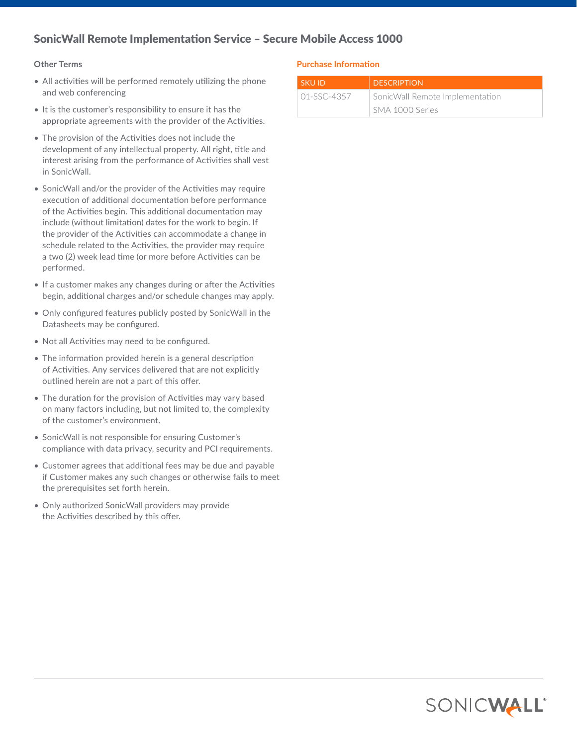# SonicWall Remote Implementation Service – Secure Mobile Access 1000

#### **Other Terms**

- All activities will be performed remotely utilizing the phone and web conferencing
- It is the customer's responsibility to ensure it has the appropriate agreements with the provider of the Activities.
- The provision of the Activities does not include the development of any intellectual property. All right, title and interest arising from the performance of Activities shall vest in SonicWall.
- SonicWall and/or the provider of the Activities may require execution of additional documentation before performance of the Activities begin. This additional documentation may include (without limitation) dates for the work to begin. If the provider of the Activities can accommodate a change in schedule related to the Activities, the provider may require a two (2) week lead time (or more before Activities can be performed.
- If a customer makes any changes during or after the Activities begin, additional charges and/or schedule changes may apply.
- Only configured features publicly posted by SonicWall in the Datasheets may be configured.
- Not all Activities may need to be configured.
- The information provided herein is a general description of Activities. Any services delivered that are not explicitly outlined herein are not a part of this offer.
- The duration for the provision of Activities may vary based on many factors including, but not limited to, the complexity of the customer's environment.
- SonicWall is not responsible for ensuring Customer's compliance with data privacy, security and PCI requirements.
- Customer agrees that additional fees may be due and payable if Customer makes any such changes or otherwise fails to meet the prerequisites set forth herein.
- Only authorized SonicWall providers may provide the Activities described by this offer.

## **Purchase Information**

| <b>SKUID</b> | <b>DESCRIPTION</b>              |
|--------------|---------------------------------|
| 01-SSC-4357  | SonicWall Remote Implementation |
|              | SMA 1000 Series                 |